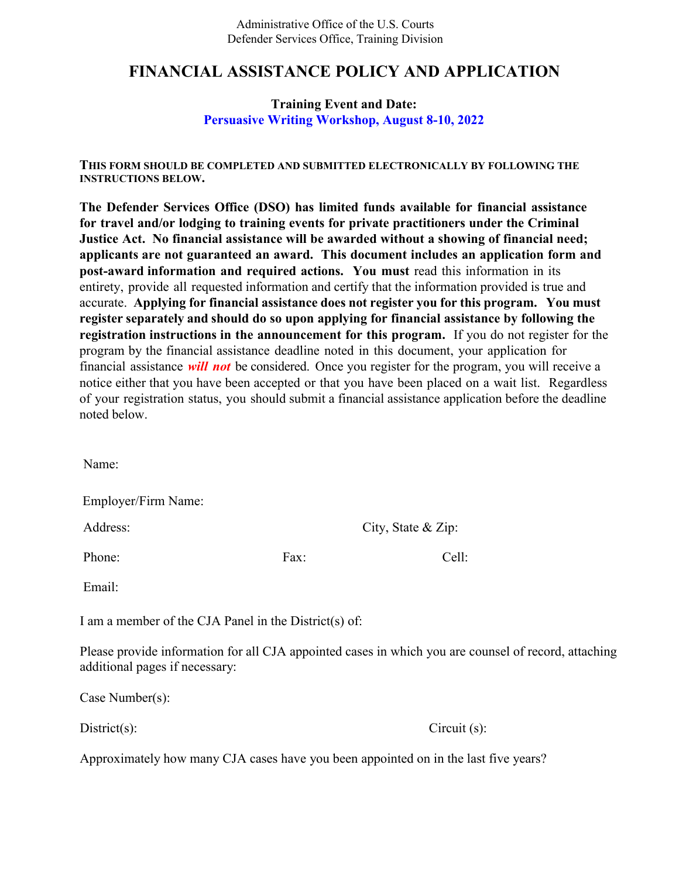Administrative Office of the U.S. Courts Defender Services Office, Training Division

# **FINANCIAL ASSISTANCE POLICY AND APPLICATION**

## **Training Event and Date: Persuasive Writing Workshop, August 8-10, 2022**

**THIS FORM SHOULD BE COMPLETED AND SUBMITTED ELECTRONICALLY BY FOLLOWING THE INSTRUCTIONS BELOW.** 

**The Defender Services Office (DSO) has limited funds available for financial assistance for travel and/or lodging to training events for private practitioners under the Criminal Justice Act. No financial assistance will be awarded without a showing of financial need; applicants are not guaranteed an award. This document includes an application form and post-award information and required actions. You must** read this information in its entirety, provide all requested information and certify that the information provided is true and accurate. **Applying for financial assistance does not register you for this program. You must register separately and should do so upon applying for financial assistance by following the registration instructions in the announcement for this program.** If you do not register for the program by the financial assistance deadline noted in this document, your application for financial assistance *will not* be considered. Once you register for the program, you will receive a notice either that you have been accepted or that you have been placed on a wait list. Regardless of your registration status, you should submit a financial assistance application before the deadline noted below.

Name:

Employer/Firm Name:

Address: City, State & Zip:

Phone: Fax: Cell:

Email:

I am a member of the CJA Panel in the District(s) of:

Please provide information for all CJA appointed cases in which you are counsel of record, attaching additional pages if necessary:

Case Number(s):

District(s): Circuit (s):

Approximately how many CJA cases have you been appointed on in the last five years?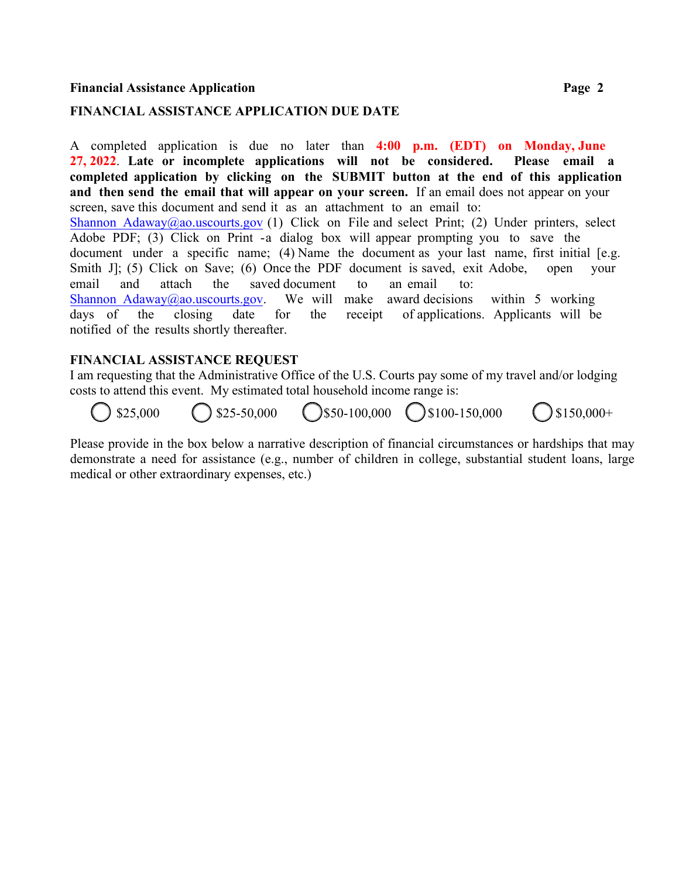#### **Financial Assistance Application Page 2**

#### **FINANCIAL ASSISTANCE APPLICATION DUE DATE**

A completed application is due no later than **4:00 p.m. (EDT) on Monday, June 27, 2022**. **Late or incomplete applications will not be considered. Please email a completed application by clicking on the SUBMIT button at the end of this application and then send the email that will appear on your screen.** If an email does not appear on your screen, save this document and send it as an attachment to an email to: Shannon Adaway@ao.uscourts.gov (1) Click on File and select Print; (2) Under printers, select Adobe PDF; (3) Click on Print -a dialog box will appear prompting you to save the document under a specific name; (4) Name the document as your last name, first initial [e.g. Smith J. (5) Click on Save; (6) Once the PDF document is saved, exit Adobe, open your email and attach the saved document to an email to: Shannon Adaway@ao.uscourts.gov. We will make award decisions within 5 working days of the closing date for the receipt of applications. Applicants will be notified of the results shortly thereafter.

#### **FINANCIAL ASSISTANCE REQUEST**

I am requesting that the Administrative Office of the U.S. Courts pay some of my travel and/or lodging costs to attend this event. My estimated total household income range is:

 $$25,000$   $$25-50,000$   $$850-100,000$   $$100-150,000$   $$150,000+$ 

Please provide in the box below a narrative description of financial circumstances or hardships that may demonstrate a need for assistance (e.g., number of children in college, substantial student loans, large medical or other extraordinary expenses, etc.)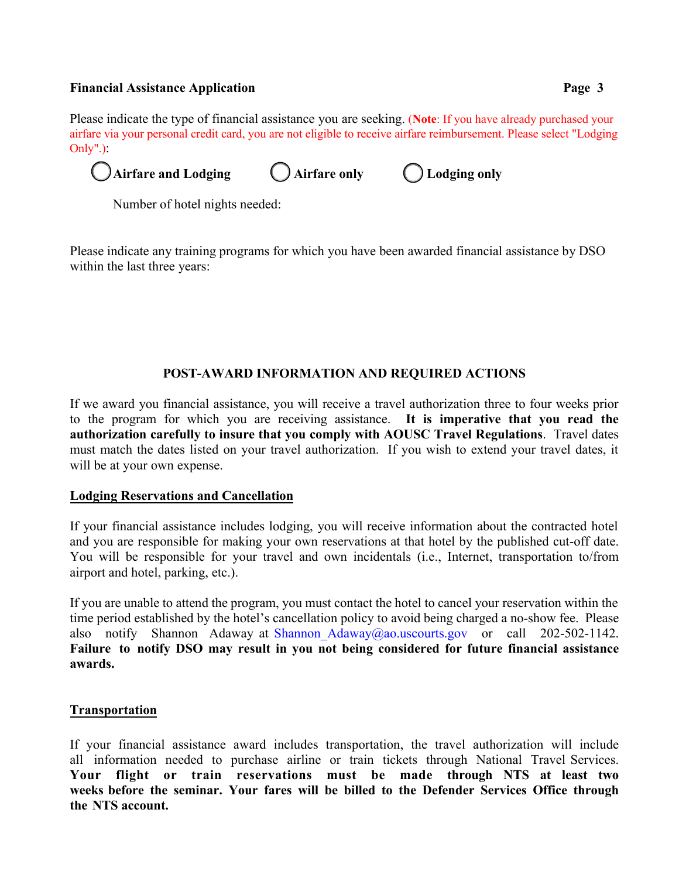### **Financial Assistance Application Page 3**

Please indicate the type of financial assistance you are seeking. (**Note**: If you have already purchased your airfare via your personal credit card, you are not eligible to receive airfare reimbursement. Please select "Lodging Only".):

Airfare and Lodging **Arrial Conduct Airfare only Airfare (**) Lodging only

Number of hotel nights needed:

Please indicate any training programs for which you have been awarded financial assistance by DSO within the last three years:

## **POST-AWARD INFORMATION AND REQUIRED ACTIONS**

If we award you financial assistance, you will receive a travel authorization three to four weeks prior to the program for which you are receiving assistance. **It is imperative that you read the authorization carefully to insure that you comply with AOUSC Travel Regulations**. Travel dates must match the dates listed on your travel authorization. If you wish to extend your travel dates, it will be at your own expense.

### **Lodging Reservations and Cancellation**

If your financial assistance includes lodging, you will receive information about the contracted hotel and you are responsible for making your own reservations at that hotel by the published cut-off date. You will be responsible for your travel and own incidentals (i.e., Internet, transportation to/from airport and hotel, parking, etc.).

If you are unable to attend the program, you must contact the hotel to cancel your reservation within the time period established by the hotel's cancellation policy to avoid being charged a no-show fee. Please also notify Shannon Adaway at Shannon Adaway@ao.uscourts.gov or call 202-502-1142. **Failure to notify DSO may result in you not being considered for future financial assistance awards.** 

### **Transportation**

If your financial assistance award includes transportation, the travel authorization will include all information needed to purchase airline or train tickets through National Travel Services. **Your flight or train reservations must be made through NTS at least two weeks before the seminar. Your fares will be billed to the Defender Services Office through the NTS account.**